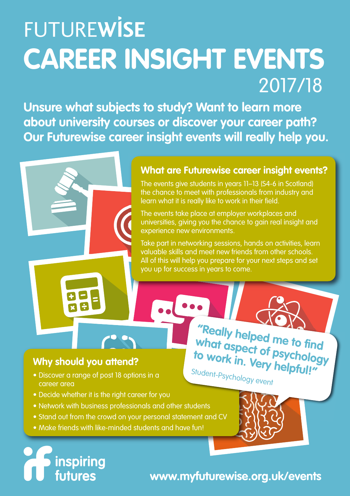# **FUTUREWISE CAREER INSIGHT EVENTS** 2017/18

**Unsure what subjects to study? Want to learn more about university courses or discover your career path? Our Futurewise career insight events will really help you.**

#### **What are Futurewise career insight events?**

The events give students in years 11–13 (S4-6 in Scotland) the chance to meet with professionals from industry and learn what it is really like to work in their field.

The events take place at employer workplaces and universities, giving you the chance to gain real insight and experience new environments.

Take part in networking sessions, hands on activities, learn valuable skills and meet new friends from other schools. All of this will help you prepare for your next steps and set you up for success in years to come.

#### **Why should you attend?**

- Discover a range of post 18 options in a career area
- Decide whether it is the right career for you
- Network with business professionals and other students
- Stand out from the crowd on your personal statement and CV
- Make friends with like-minded students and have fun!

*what* aspect of psychology<br>to work in. Very bolus in the work **"R h e a a t l a ly s h e e lped me to find** t **o** ude **w o** - **rk in. Very helpful!"**

Student-Psychology event nt



## inspiring futures

### **www.myfuturewise.org.uk/events**